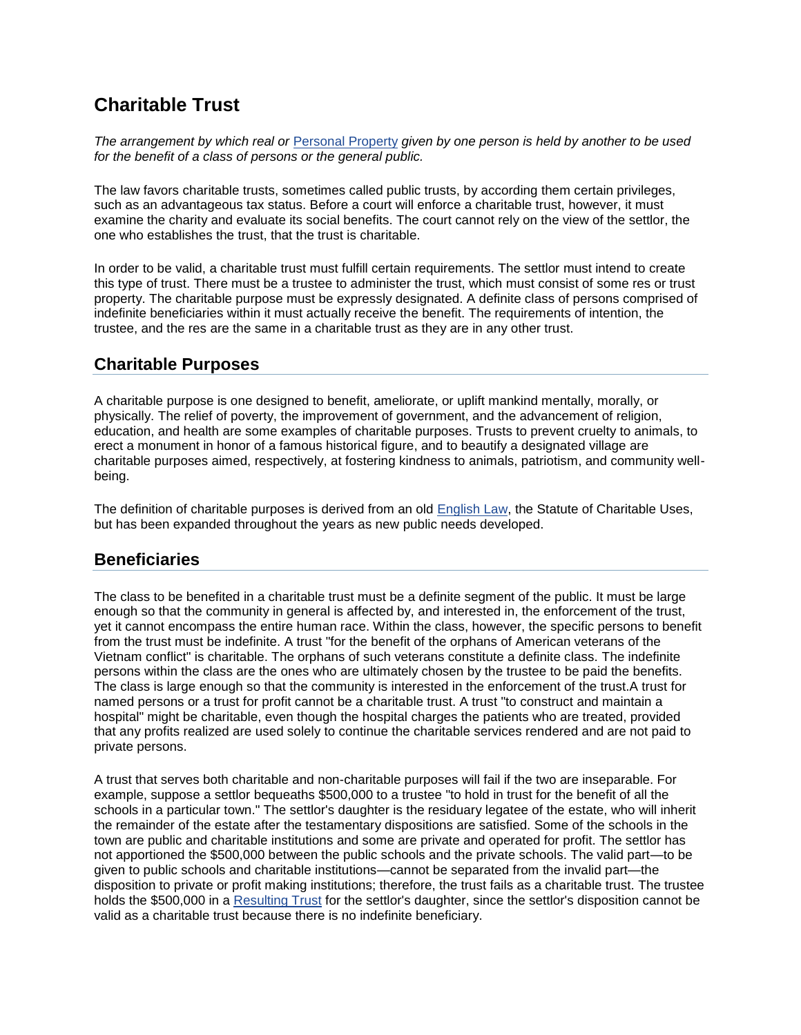## **Charitable Trust**

*The arrangement by which real or* [Personal Property](http://legal-dictionary.thefreedictionary.com/Personal+Property) *given by one person is held by another to be used for the benefit of a class of persons or the general public.*

The law favors charitable trusts, sometimes called public trusts, by according them certain privileges, such as an advantageous tax status. Before a court will enforce a charitable trust, however, it must examine the charity and evaluate its social benefits. The court cannot rely on the view of the settlor, the one who establishes the trust, that the trust is charitable.

In order to be valid, a charitable trust must fulfill certain requirements. The settlor must intend to create this type of trust. There must be a trustee to administer the trust, which must consist of some res or trust property. The charitable purpose must be expressly designated. A definite class of persons comprised of indefinite beneficiaries within it must actually receive the benefit. The requirements of intention, the trustee, and the res are the same in a charitable trust as they are in any other trust.

## **Charitable Purposes**

A charitable purpose is one designed to benefit, ameliorate, or uplift mankind mentally, morally, or physically. The relief of poverty, the improvement of government, and the advancement of religion, education, and health are some examples of charitable purposes. Trusts to prevent cruelty to animals, to erect a monument in honor of a famous historical figure, and to beautify a designated village are charitable purposes aimed, respectively, at fostering kindness to animals, patriotism, and community wellbeing.

The definition of charitable purposes is derived from an old **English Law**, the Statute of Charitable Uses, but has been expanded throughout the years as new public needs developed.

## **Beneficiaries**

The class to be benefited in a charitable trust must be a definite segment of the public. It must be large enough so that the community in general is affected by, and interested in, the enforcement of the trust, yet it cannot encompass the entire human race. Within the class, however, the specific persons to benefit from the trust must be indefinite. A trust "for the benefit of the orphans of American veterans of the Vietnam conflict" is charitable. The orphans of such veterans constitute a definite class. The indefinite persons within the class are the ones who are ultimately chosen by the trustee to be paid the benefits. The class is large enough so that the community is interested in the enforcement of the trust.A trust for named persons or a trust for profit cannot be a charitable trust. A trust "to construct and maintain a hospital" might be charitable, even though the hospital charges the patients who are treated, provided that any profits realized are used solely to continue the charitable services rendered and are not paid to private persons.

A trust that serves both charitable and non-charitable purposes will fail if the two are inseparable. For example, suppose a settlor bequeaths \$500,000 to a trustee "to hold in trust for the benefit of all the schools in a particular town." The settlor's daughter is the residuary legatee of the estate, who will inherit the remainder of the estate after the testamentary dispositions are satisfied. Some of the schools in the town are public and charitable institutions and some are private and operated for profit. The settlor has not apportioned the \$500,000 between the public schools and the private schools. The valid part—to be given to public schools and charitable institutions—cannot be separated from the invalid part—the disposition to private or profit making institutions; therefore, the trust fails as a charitable trust. The trustee holds the \$500,000 in a [Resulting Trust](http://legal-dictionary.thefreedictionary.com/Resulting+Trust) for the settlor's daughter, since the settlor's disposition cannot be valid as a charitable trust because there is no indefinite beneficiary.